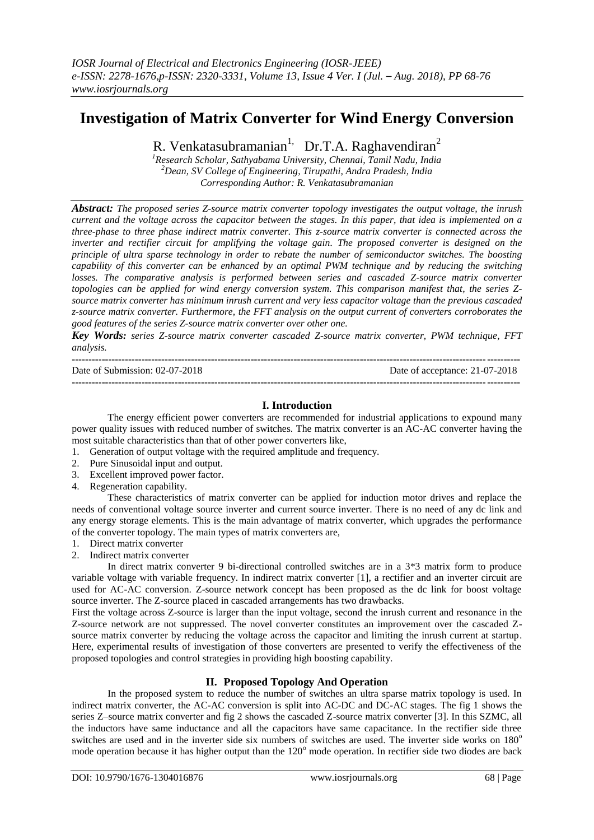# **Investigation of Matrix Converter for Wind Energy Conversion**

R. Venkatasubramanian<sup>1,</sup> Dr.T.A. Raghavendiran<sup>2</sup>

*<sup>1</sup>Research Scholar, Sathyabama University, Chennai, Tamil Nadu, India <sup>2</sup>Dean, SV College of Engineering, Tirupathi, Andra Pradesh, India Corresponding Author: R. Venkatasubramanian*

*Abstract: The proposed series Z-source matrix converter topology investigates the output voltage, the inrush current and the voltage across the capacitor between the stages. In this paper, that idea is implemented on a three-phase to three phase indirect matrix converter. This z-source matrix converter is connected across the inverter and rectifier circuit for amplifying the voltage gain. The proposed converter is designed on the principle of ultra sparse technology in order to rebate the number of semiconductor switches. The boosting capability of this converter can be enhanced by an optimal PWM technique and by reducing the switching losses. The comparative analysis is performed between series and cascaded Z-source matrix converter topologies can be applied for wind energy conversion system. This comparison manifest that, the series Zsource matrix converter has minimum inrush current and very less capacitor voltage than the previous cascaded z-source matrix converter. Furthermore, the FFT analysis on the output current of converters corroborates the good features of the series Z-source matrix converter over other one.* 

*Key Words: series Z-source matrix converter cascaded Z-source matrix converter, PWM technique, FFT analysis.*

| Date of Submission: $02-07-2018$ | Date of acceptance: 21-07-2018 |
|----------------------------------|--------------------------------|
|                                  |                                |

### **I. Introduction**

The energy efficient power converters are recommended for industrial applications to expound many power quality issues with reduced number of switches. The matrix converter is an AC-AC converter having the most suitable characteristics than that of other power converters like,

- 1. Generation of output voltage with the required amplitude and frequency.
- 2. Pure Sinusoidal input and output.
- 3. Excellent improved power factor.
- 4. Regeneration capability.

These characteristics of matrix converter can be applied for induction motor drives and replace the needs of conventional voltage source inverter and current source inverter. There is no need of any dc link and any energy storage elements. This is the main advantage of matrix converter, which upgrades the performance of the converter topology. The main types of matrix converters are,

- 1. Direct matrix converter
- 2. Indirect matrix converter

In direct matrix converter 9 bi-directional controlled switches are in a 3\*3 matrix form to produce variable voltage with variable frequency. In indirect matrix converter [1], a rectifier and an inverter circuit are used for AC-AC conversion. Z-source network concept has been proposed as the dc link for boost voltage source inverter. The Z-source placed in cascaded arrangements has two drawbacks.

First the voltage across Z-source is larger than the input voltage, second the inrush current and resonance in the Z-source network are not suppressed. The novel converter constitutes an improvement over the cascaded Zsource matrix converter by reducing the voltage across the capacitor and limiting the inrush current at startup. Here, experimental results of investigation of those converters are presented to verify the effectiveness of the proposed topologies and control strategies in providing high boosting capability.

## **II. Proposed Topology And Operation**

In the proposed system to reduce the number of switches an ultra sparse matrix topology is used. In indirect matrix converter, the AC-AC conversion is split into AC-DC and DC-AC stages. The fig 1 shows the series Z–source matrix converter and fig 2 shows the cascaded Z-source matrix converter [3]. In this SZMC, all the inductors have same inductance and all the capacitors have same capacitance. In the rectifier side three switches are used and in the inverter side six numbers of switches are used. The inverter side works on 180<sup>o</sup> mode operation because it has higher output than the  $120^{\circ}$  mode operation. In rectifier side two diodes are back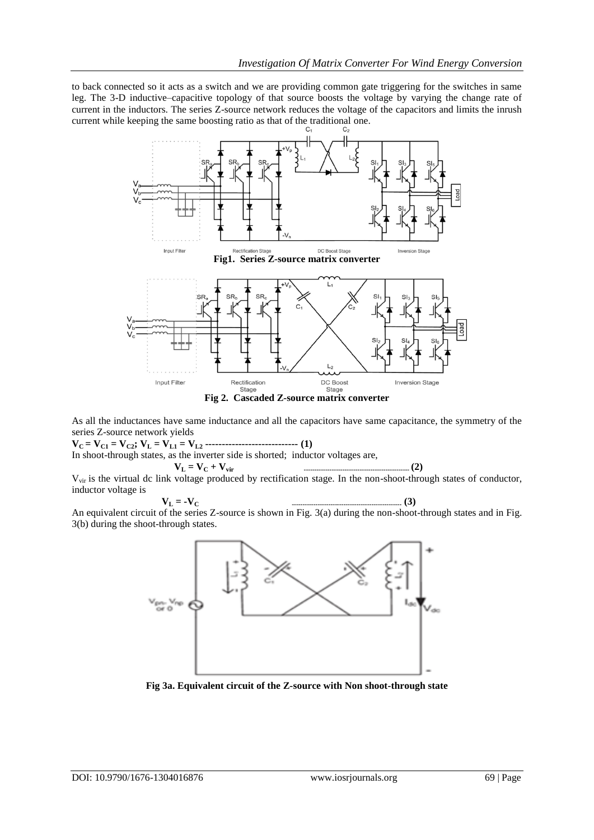to back connected so it acts as a switch and we are providing common gate triggering for the switches in same leg. The 3-D inductive–capacitive topology of that source boosts the voltage by varying the change rate of current in the inductors. The series Z-source network reduces the voltage of the capacitors and limits the inrush current while keeping the same boosting ratio as that of the traditional one.



As all the inductances have same inductance and all the capacitors have same capacitance, the symmetry of the series Z-source network yields

 $V_C = V_{C1} = V_{C2}$ ;  $V_L = V_{L1} = V_{L2}$  **--------------------------- (1)** In shoot-through states, as the inverter side is shorted; inductor voltages are,

 **V<sup>L</sup> = V<sup>C</sup> + Vvir ------------------------------------------------- (2)** Vvir is the virtual dc link voltage produced by rectification stage. In the non-shoot-through states of conductor, inductor voltage is

$$
\mathbf{V}_{\mathbf{L}} = -\mathbf{V}_{\mathbf{C}} \tag{3}
$$

An equivalent circuit of the series Z-source is shown in Fig. 3(a) during the non-shoot-through states and in Fig. 3(b) during the shoot-through states.



**Fig 3a. Equivalent circuit of the Z-source with Non shoot-through state**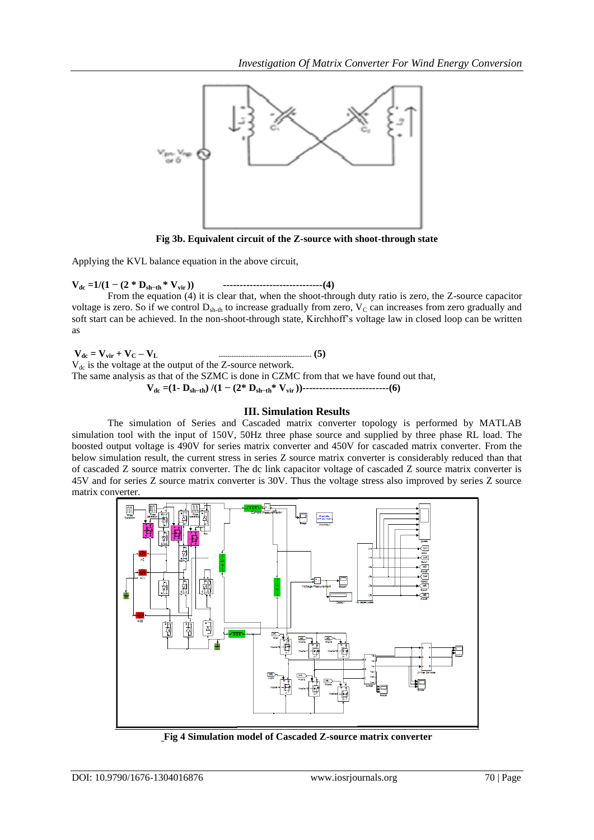

**Fig 3b. Equivalent circuit of the Z-source with shoot-through state**

Applying the KVL balance equation in the above circuit,

**Vdc =1/(1 − (2 \* Dsh−th \* Vvir )) ------------------------------(4)**

From the equation (4) it is clear that, when the shoot-through duty ratio is zero, the Z-source capacitor voltage is zero. So if we control  $D_{\text{sh-th}}$  to increase gradually from zero,  $V_C$  can increases from zero gradually and soft start can be achieved. In the non-shoot-through state, Kirchhoff's voltage law in closed loop can be written as

**Vdc = Vvir + V<sup>C</sup> – VL ------------------------------------------- (5)**  $V_{dc}$  is the voltage at the output of the Z-source network. The same analysis as that of the SZMC is done in CZMC from that we have found out that,  **Vdc =(1- Dsh−th) /(1 − (2\* Dsh−th\* Vvir ))--------------------------(6)**

### **III. Simulation Results**

The simulation of Series and Cascaded matrix converter topology is performed by MATLAB simulation tool with the input of 150V, 50Hz three phase source and supplied by three phase RL load. The boosted output voltage is 490V for series matrix converter and 450V for cascaded matrix converter. From the below simulation result, the current stress in series Z source matrix converter is considerably reduced than that of cascaded Z source matrix converter. The dc link capacitor voltage of cascaded Z source matrix converter is 45V and for series Z source matrix converter is 30V. Thus the voltage stress also improved by series Z source matrix converter.



**Fig 4 Simulation model of Cascaded Z-source matrix converter**

l,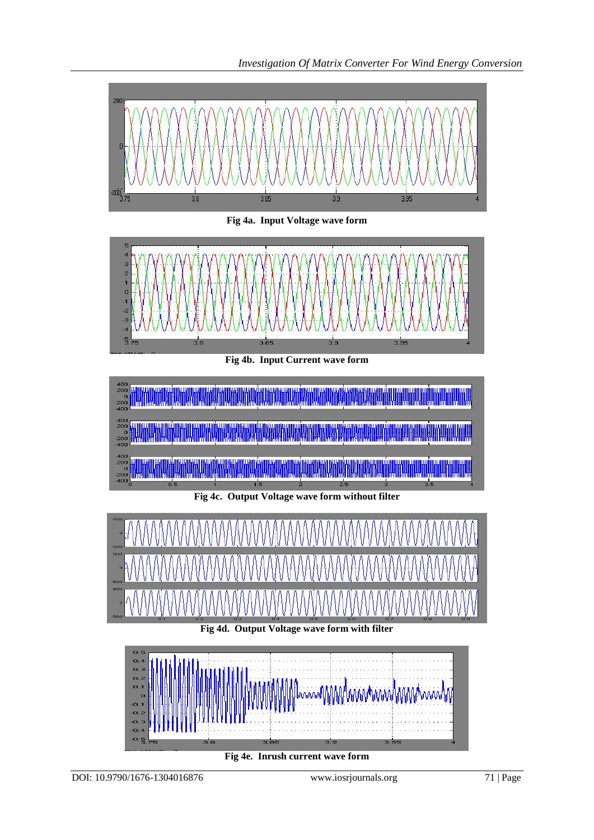

**Fig 4e. Inrush current wave form**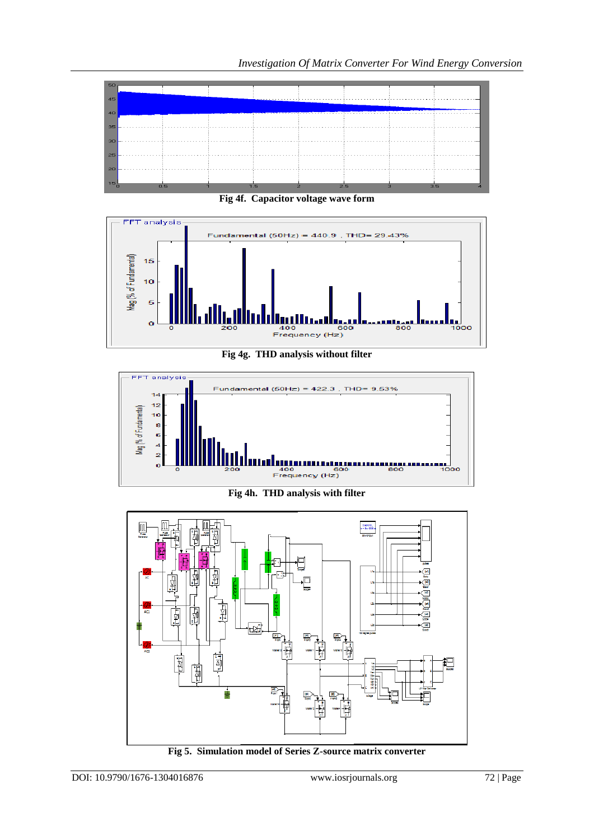

**Fig 4f. Capacitor voltage wave form**



**Fig 4g. THD analysis without filter**



**Fig 4h. THD analysis with filter**



**Fig 5. Simulation model of Series Z-source matrix converter**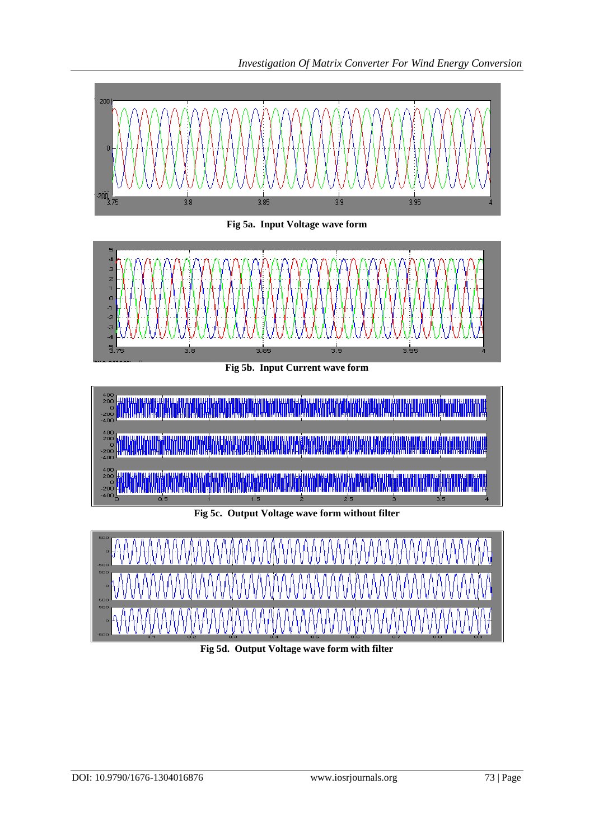



**Fig 5d. Output Voltage wave form with filter**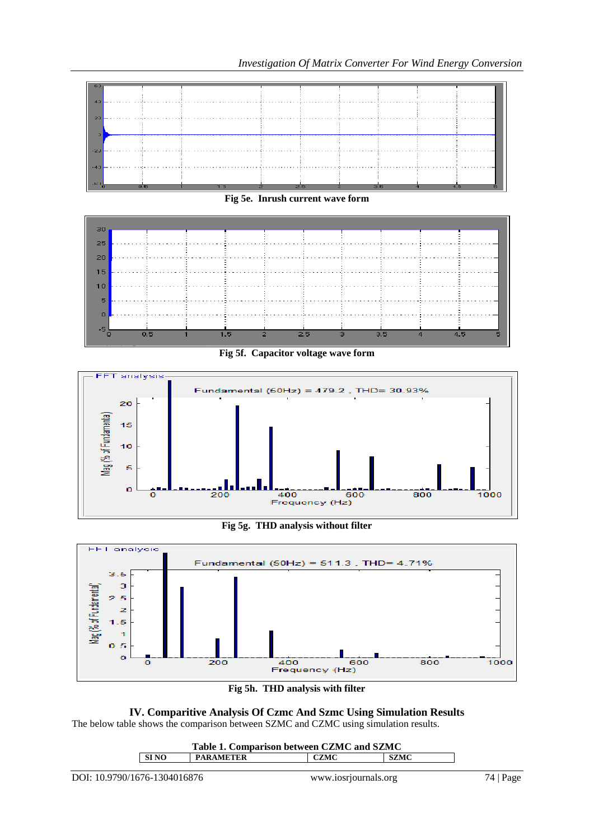

**Fig 5e. Inrush current wave form**



**Fig 5f. Capacitor voltage wave form**



**Fig 5g. THD analysis without filter**



**Fig 5h. THD analysis with filter**

**IV. Comparitive Analysis Of Czmc And Szmc Using Simulation Results** The below table shows the comparison between SZMC and CZMC using simulation results.

| Table 1. Comparison between CZMC and SZMC |                  |      |             |  |
|-------------------------------------------|------------------|------|-------------|--|
| SI NO                                     | <b>PARAMETER</b> | CZMC | <b>SZMC</b> |  |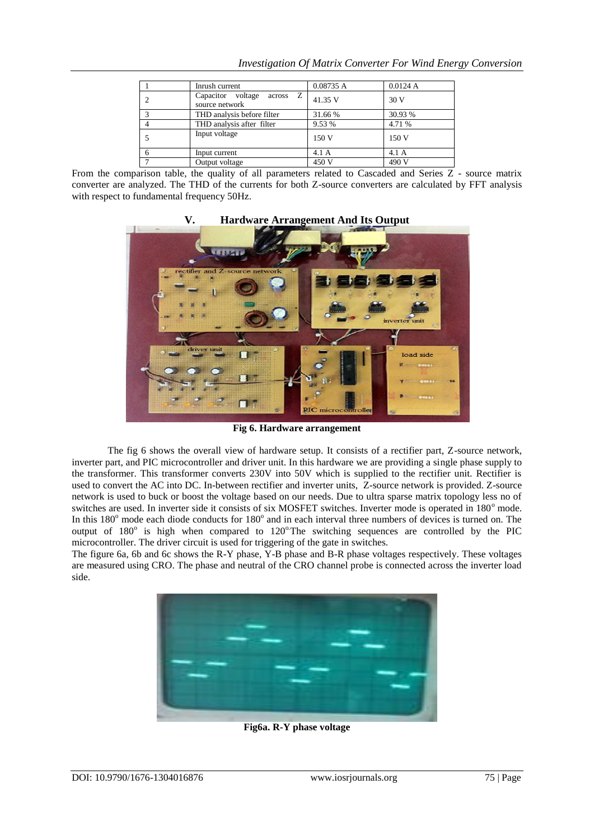| Inrush current                                       | 0.08735 A | 0.0124A |
|------------------------------------------------------|-----------|---------|
| $across \t Z$<br>Capacitor voltage<br>source network | 41.35 V   | 30 V    |
| THD analysis before filter                           | 31.66 %   | 30.93 % |
| THD analysis after filter                            | 9.53 %    | 4.71 %  |
| Input voltage                                        | 150 V     | 150 V   |
| Input current                                        | 4.1A      | 4.1A    |
| Output voltage                                       | 450 V     | 490 V   |

*Investigation Of Matrix Converter For Wind Energy Conversion*

From the comparison table, the quality of all parameters related to Cascaded and Series Z - source matrix converter are analyzed. The THD of the currents for both Z-source converters are calculated by FFT analysis with respect to fundamental frequency 50Hz.

### **V. Hardware Arrangement And Its Output**



**Fig 6. Hardware arrangement**

The fig 6 shows the overall view of hardware setup. It consists of a rectifier part, Z-source network, inverter part, and PIC microcontroller and driver unit. In this hardware we are providing a single phase supply to the transformer. This transformer converts 230V into 50V which is supplied to the rectifier unit. Rectifier is used to convert the AC into DC. In-between rectifier and inverter units, Z-source network is provided. Z-source network is used to buck or boost the voltage based on our needs. Due to ultra sparse matrix topology less no of switches are used. In inverter side it consists of six MOSFET switches. Inverter mode is operated in 180° mode. In this 180<sup>°</sup> mode each diode conducts for 180<sup>°</sup> and in each interval three numbers of devices is turned on. The output of 180° is high when compared to 120°The switching sequences are controlled by the PIC microcontroller. The driver circuit is used for triggering of the gate in switches.

The figure 6a, 6b and 6c shows the R-Y phase, Y-B phase and B-R phase voltages respectively. These voltages are measured using CRO. The phase and neutral of the CRO channel probe is connected across the inverter load side.



**Fig6a. R-Y phase voltage**